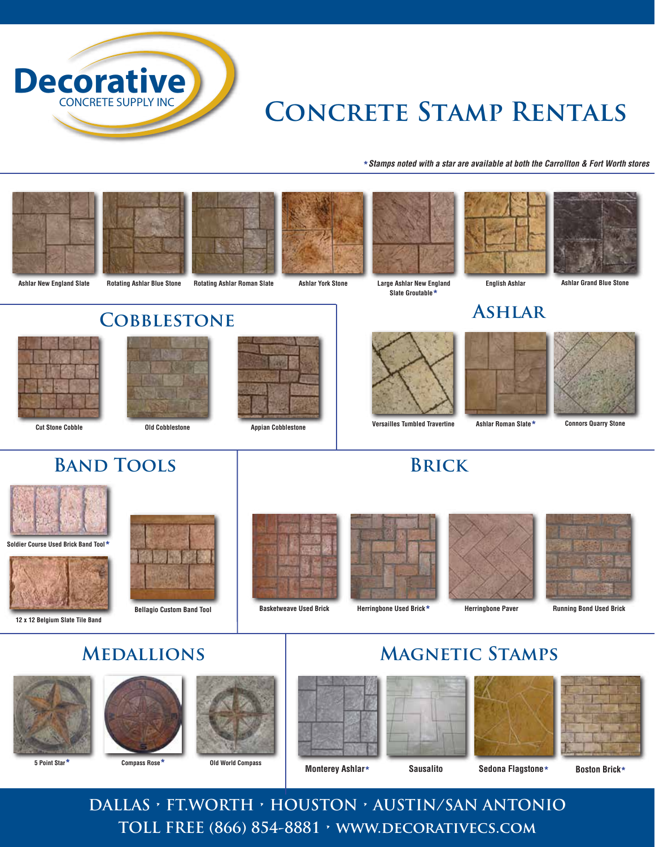

# **Concrete Stamp Rentals**

**\****Stamps noted with a star are available at both the Carrollton & Fort Worth stores*











**Ashlar York Stone Large Ashlar New England English Ashlar Slate Groutable\***





**Ashlar Grand Blue Stone**

#### **Ashlar**



**Ashlar Roman Slate\***



**Connors Quarry Stone**

# **Cobblestone**





# **BAND TOOLS BRICK**



**Soldier Course Used Brick Band Tool\***



**12 x 12 Belgium Slate Tile Band**





**Bellagio Custom Band Tool Basketweave Used Brick**





**Magnetic Stamps**



**Herringbone Used Brick\* Herringbone Paver Running Bond Used Brick**

#### **Medallions**









**Monterey Ashlar\* Sausalito Sedona Flagstone\* Boston Brick\***







**DALLAS • FT.WORTH • HOUSTON • AUSTIN/SAN ANTONIO TOLL FREE (866) 854-8881 • www.decorativecs.com**